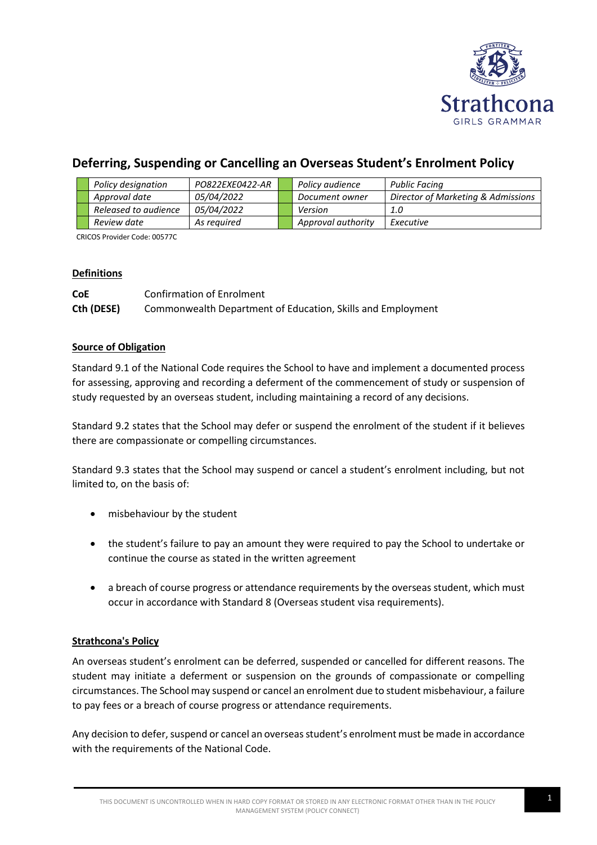

# **Deferring, Suspending or Cancelling an Overseas Student's Enrolment Policy**

|  | Policy designation   | PO822EXE0422-AR   | Policy audience    | Public Facing                      |
|--|----------------------|-------------------|--------------------|------------------------------------|
|  | Approval date        | <i>05/04/2022</i> | Document owner     | Director of Marketing & Admissions |
|  | Released to audience | <i>05/04/2022</i> | Version            | 1.0                                |
|  | Review date          | As reguired       | Approval authority | Executive                          |

CRICOS Provider Code: 00577C

#### **Definitions**

**CoE** Confirmation of Enrolment **Cth (DESE)** Commonwealth Department of Education, Skills and Employment

#### **Source of Obligation**

Standard 9.1 of the National Code requires the School to have and implement a documented process for assessing, approving and recording a deferment of the commencement of study or suspension of study requested by an overseas student, including maintaining a record of any decisions.

Standard 9.2 states that the School may defer or suspend the enrolment of the student if it believes there are compassionate or compelling circumstances.

Standard 9.3 states that the School may suspend or cancel a student's enrolment including, but not limited to, on the basis of:

- misbehaviour by the student
- the student's failure to pay an amount they were required to pay the School to undertake or continue the course as stated in the written agreement
- a breach of course progress or attendance requirements by the overseas student, which must occur in accordance with Standard 8 (Overseas student visa requirements).

## **Strathcona's Policy**

An overseas student's enrolment can be deferred, suspended or cancelled for different reasons. The student may initiate a deferment or suspension on the grounds of compassionate or compelling circumstances. The School may suspend or cancel an enrolment due to student misbehaviour, a failure to pay fees or a breach of course progress or attendance requirements.

Any decision to defer, suspend or cancel an overseas student's enrolment must be made in accordance with the requirements of the National Code.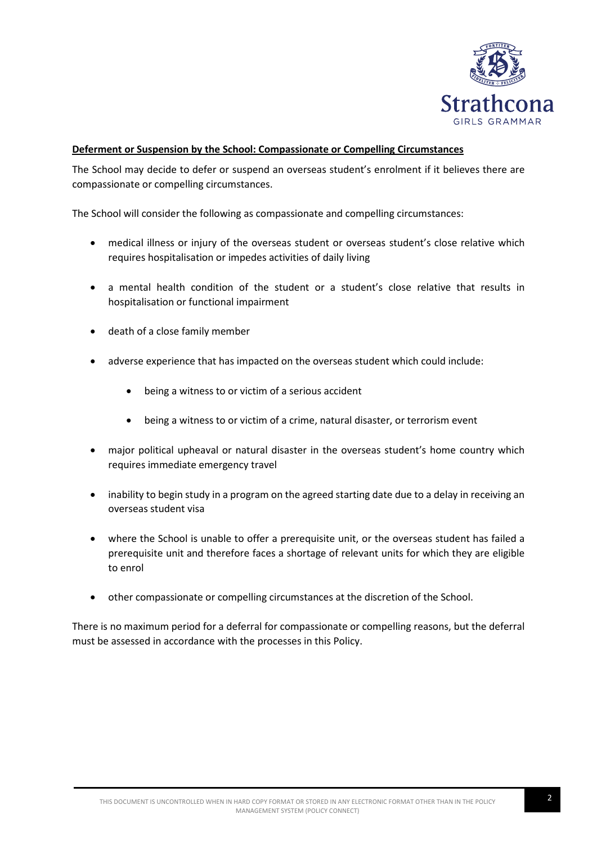

#### **Deferment or Suspension by the School: Compassionate or Compelling Circumstances**

The School may decide to defer or suspend an overseas student's enrolment if it believes there are compassionate or compelling circumstances.

The School will consider the following as compassionate and compelling circumstances:

- medical illness or injury of the overseas student or overseas student's close relative which requires hospitalisation or impedes activities of daily living
- a mental health condition of the student or a student's close relative that results in hospitalisation or functional impairment
- death of a close family member
- adverse experience that has impacted on the overseas student which could include:
	- being a witness to or victim of a serious accident
	- being a witness to or victim of a crime, natural disaster, or terrorism event
- major political upheaval or natural disaster in the overseas student's home country which requires immediate emergency travel
- inability to begin study in a program on the agreed starting date due to a delay in receiving an overseas student visa
- where the School is unable to offer a prerequisite unit, or the overseas student has failed a prerequisite unit and therefore faces a shortage of relevant units for which they are eligible to enrol
- other compassionate or compelling circumstances at the discretion of the School.

There is no maximum period for a deferral for compassionate or compelling reasons, but the deferral must be assessed in accordance with the processes in this Policy.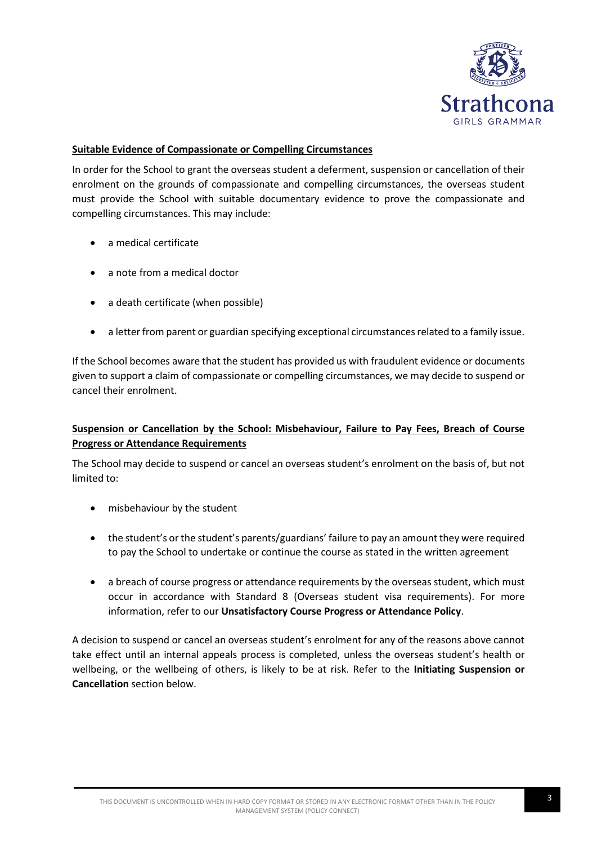

### **Suitable Evidence of Compassionate or Compelling Circumstances**

In order for the School to grant the overseas student a deferment, suspension or cancellation of their enrolment on the grounds of compassionate and compelling circumstances, the overseas student must provide the School with suitable documentary evidence to prove the compassionate and compelling circumstances. This may include:

- a medical certificate
- a note from a medical doctor
- a death certificate (when possible)
- a letter from parent or guardian specifying exceptional circumstances related to a family issue.

If the School becomes aware that the student has provided us with fraudulent evidence or documents given to support a claim of compassionate or compelling circumstances, we may decide to suspend or cancel their enrolment.

## **Suspension or Cancellation by the School: Misbehaviour, Failure to Pay Fees, Breach of Course Progress or Attendance Requirements**

The School may decide to suspend or cancel an overseas student's enrolment on the basis of, but not limited to:

- misbehaviour by the student
- the student's or the student's parents/guardians' failure to pay an amount they were required to pay the School to undertake or continue the course as stated in the written agreement
- a breach of course progress or attendance requirements by the overseas student, which must occur in accordance with Standard 8 (Overseas student visa requirements). For more information, refer to our **Unsatisfactory Course Progress or Attendance Policy**.

A decision to suspend or cancel an overseas student's enrolment for any of the reasons above cannot take effect until an internal appeals process is completed, unless the overseas student's health or wellbeing, or the wellbeing of others, is likely to be at risk. Refer to the **Initiating Suspension or Cancellation** section below.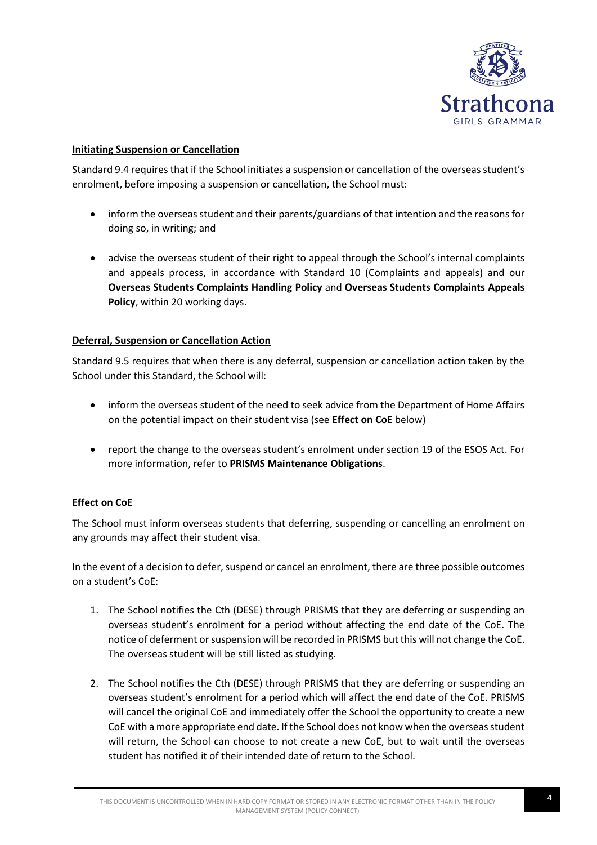

#### **Initiating Suspension or Cancellation**

Standard 9.4 requires that if the School initiates a suspension or cancellation of the overseas student's enrolment, before imposing a suspension or cancellation, the School must:

- inform the overseas student and their parents/guardians of that intention and the reasons for doing so, in writing; and
- advise the overseas student of their right to appeal through the School's internal complaints and appeals process, in accordance with Standard 10 (Complaints and appeals) and our **Overseas Students Complaints Handling Policy** and **Overseas Students Complaints Appeals Policy**, within 20 working days.

#### **Deferral, Suspension or Cancellation Action**

Standard 9.5 requires that when there is any deferral, suspension or cancellation action taken by the School under this Standard, the School will:

- inform the overseas student of the need to seek advice from the Department of Home Affairs on the potential impact on their student visa (see **Effect on CoE** below)
- report the change to the overseas student's enrolment under section 19 of the ESOS Act. For more information, refer to **PRISMS Maintenance Obligations**.

## **Effect on CoE**

The School must inform overseas students that deferring, suspending or cancelling an enrolment on any grounds may affect their student visa.

In the event of a decision to defer, suspend or cancel an enrolment, there are three possible outcomes on a student's CoE:

- 1. The School notifies the Cth (DESE) through PRISMS that they are deferring or suspending an overseas student's enrolment for a period without affecting the end date of the CoE. The notice of deferment or suspension will be recorded in PRISMS but this will not change the CoE. The overseas student will be still listed as studying.
- 2. The School notifies the Cth (DESE) through PRISMS that they are deferring or suspending an overseas student's enrolment for a period which will affect the end date of the CoE. PRISMS will cancel the original CoE and immediately offer the School the opportunity to create a new CoE with a more appropriate end date. If the School does not know when the overseas student will return, the School can choose to not create a new CoE, but to wait until the overseas student has notified it of their intended date of return to the School.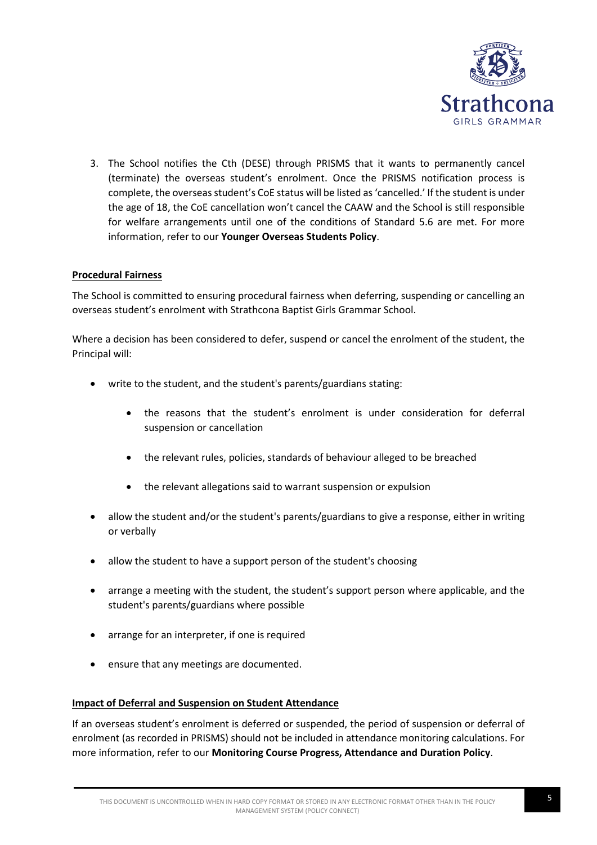

3. The School notifies the Cth (DESE) through PRISMS that it wants to permanently cancel (terminate) the overseas student's enrolment. Once the PRISMS notification process is complete, the overseas student's CoE status will be listed as 'cancelled.' If the student is under the age of 18, the CoE cancellation won't cancel the CAAW and the School is still responsible for welfare arrangements until one of the conditions of Standard 5.6 are met. For more information, refer to our **Younger Overseas Students Policy**.

## **Procedural Fairness**

The School is committed to ensuring procedural fairness when deferring, suspending or cancelling an overseas student's enrolment with Strathcona Baptist Girls Grammar School.

Where a decision has been considered to defer, suspend or cancel the enrolment of the student, the Principal will:

- write to the student, and the student's parents/guardians stating:
	- the reasons that the student's enrolment is under consideration for deferral suspension or cancellation
	- the relevant rules, policies, standards of behaviour alleged to be breached
	- the relevant allegations said to warrant suspension or expulsion
- allow the student and/or the student's parents/guardians to give a response, either in writing or verbally
- allow the student to have a support person of the student's choosing
- arrange a meeting with the student, the student's support person where applicable, and the student's parents/guardians where possible
- arrange for an interpreter, if one is required
- ensure that any meetings are documented.

#### **Impact of Deferral and Suspension on Student Attendance**

If an overseas student's enrolment is deferred or suspended, the period of suspension or deferral of enrolment (as recorded in PRISMS) should not be included in attendance monitoring calculations. For more information, refer to our **Monitoring Course Progress, Attendance and Duration Policy**.